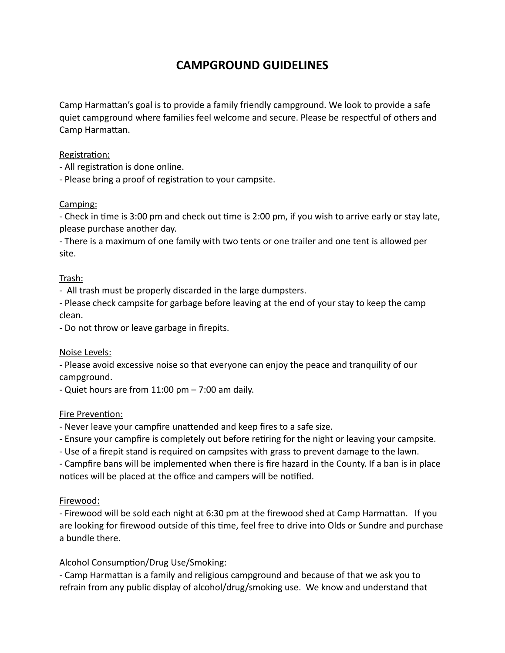# **CAMPGROUND GUIDELINES**

Camp Harmattan's goal is to provide a family friendly campground. We look to provide a safe quiet campground where families feel welcome and secure. Please be respectful of others and Camp Harmattan.

## Registration:

- All registration is done online.
- Please bring a proof of registration to your campsite.

## Camping:

- Check in time is 3:00 pm and check out time is 2:00 pm, if you wish to arrive early or stay late, please purchase another day.

- There is a maximum of one family with two tents or one trailer and one tent is allowed per site.

## Trash:

- All trash must be properly discarded in the large dumpsters.

- Please check campsite for garbage before leaving at the end of your stay to keep the camp clean.

- Do not throw or leave garbage in firepits.

## Noise Levels:

- Please avoid excessive noise so that everyone can enjoy the peace and tranquility of our campground.

- Quiet hours are from 11:00 pm – 7:00 am daily.

## Fire Prevention:

- Never leave your campfire unattended and keep fires to a safe size.

- Ensure your campfire is completely out before retiring for the night or leaving your campsite.

- Use of a firepit stand is required on campsites with grass to prevent damage to the lawn.

- Campfire bans will be implemented when there is fire hazard in the County. If a ban is in place notices will be placed at the office and campers will be notified.

# Firewood:

- Firewood will be sold each night at 6:30 pm at the firewood shed at Camp Harmattan. If you are looking for firewood outside of this time, feel free to drive into Olds or Sundre and purchase a bundle there.

## Alcohol Consumption/Drug Use/Smoking:

- Camp Harmattan is a family and religious campground and because of that we ask you to refrain from any public display of alcohol/drug/smoking use. We know and understand that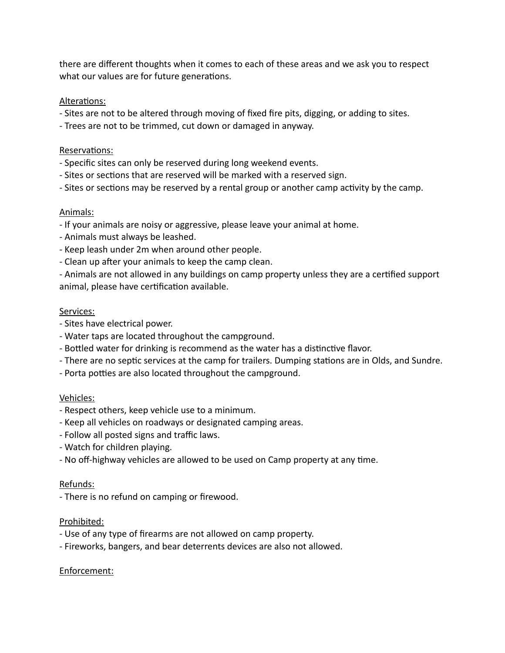there are different thoughts when it comes to each of these areas and we ask you to respect what our values are for future generations.

## Alterations:

- Sites are not to be altered through moving of fixed fire pits, digging, or adding to sites.
- Trees are not to be trimmed, cut down or damaged in anyway.

## Reservations:

- Specific sites can only be reserved during long weekend events.
- Sites or sections that are reserved will be marked with a reserved sign.
- Sites or sections may be reserved by a rental group or another camp activity by the camp.

## Animals:

- If your animals are noisy or aggressive, please leave your animal at home.
- Animals must always be leashed.
- Keep leash under 2m when around other people.
- Clean up after your animals to keep the camp clean.

- Animals are not allowed in any buildings on camp property unless they are a certified support animal, please have certification available.

## Services:

- Sites have electrical power.
- Water taps are located throughout the campground.
- Bottled water for drinking is recommend as the water has a distinctive flavor.
- There are no septic services at the camp for trailers. Dumping stations are in Olds, and Sundre.
- Porta potties are also located throughout the campground.

## Vehicles:

- Respect others, keep vehicle use to a minimum.
- Keep all vehicles on roadways or designated camping areas.
- Follow all posted signs and traffic laws.
- Watch for children playing.
- No off-highway vehicles are allowed to be used on Camp property at any time.

## Refunds:

- There is no refund on camping or firewood.

## Prohibited:

- Use of any type of firearms are not allowed on camp property.
- Fireworks, bangers, and bear deterrents devices are also not allowed.

# Enforcement: